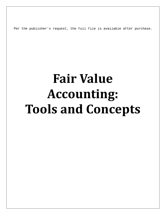Per the publisher's request, the full file is available after purchase.

## **Fair Value Accounting: Tools and Concepts**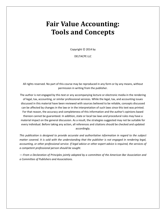## **Fair Value Accounting: Tools and Concepts**

Copyright  $©$  2014 by

DELTACPE LLC

All rights reserved. No part of this course may be reproduced in any form or by any means, without permission in writing from the publisher.

The author is not engaged by this text or any accompanying lecture or electronic media in the rendering of legal, tax, accounting, or similar professional services. While the legal, tax, and accounting issues discussed in this material have been reviewed with sources believed to be reliable, concepts discussed can be affected by changes in the law or in the interpretation of such laws since this text was printed. For that reason, the accuracy and completeness of this information and the author's opinions based thereon cannot be guaranteed. In addition, state or local tax laws and procedural rules may have a material impact on the general discussion. As a result, the strategies suggested may not be suitable for every individual. Before taking any action, all references and citations should be checked and updated accordingly.

*This publication is designed to provide accurate and authoritative information in regard to the subject matter covered. It is sold with the understanding that the publisher is not engaged in rendering legal, accounting, or other professional service. If legal advice or other expert advice is required, the services of a competent professional person should be sought.*

*—-From a Declaration of Principles jointly adopted by a committee of the American Bar Association and a Committee of Publishers and Associations.*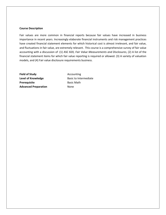## **Course Description**

Fair values are more common in financial reports because fair values have increased in business importance in recent years. Increasingly elaborate financial instruments and risk management practices have created financial statement elements for which historical cost is almost irrelevant, and fair value, and fluctuations in fair value, are extremely relevant. This course is a comprehensive survey of fair value accounting with a discussion of :(1) ASC 820*, Fair Value Measurements and Disclosures*, (2) A list of the financial statement items for which fair value reporting is required or allowed. (3) A variety of valuation models, and (4) Fair value disclosure requirements business.

**Field of Study Accounting Level of Knowledge Basic to Intermediate Prerequisite** Basic Math **Advanced Preparation** None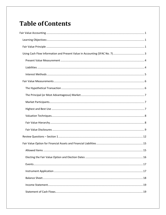## **Table of Contents**